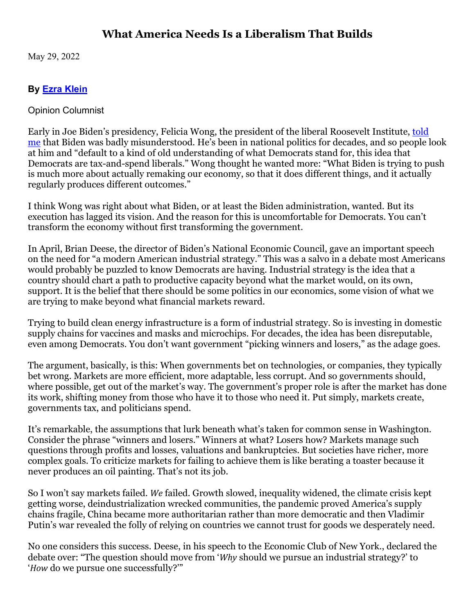## **What America Needs Is a Liberalism That Builds**

May 29, 2022

## **By [Ezra Klein](https://www.nytimes.com/by/ezra-klein)**

Opinion Columnist

Early in Joe Biden's presidency, Felicia Wong, the president of the liberal Roosevelt Institute, [told](https://www.nytimes.com/2021/09/03/podcasts/transcript-ezra-klein-interviews-felicia-wong.html) [me](https://www.nytimes.com/2021/09/03/podcasts/transcript-ezra-klein-interviews-felicia-wong.html) that Biden was badly misunderstood. He's been in national politics for decades, and so people look at him and "default to a kind of old understanding of what Democrats stand for, this idea that Democrats are tax-and-spend liberals." Wong thought he wanted more: "What Biden is trying to push is much more about actually remaking our economy, so that it does different things, and it actually regularly produces different outcomes."

I think Wong was right about what Biden, or at least the Biden administration, wanted. But its execution has lagged its vision. And the reason for this is uncomfortable for Democrats. You can't transform the economy without first transforming the government.

In April, Brian Deese, the director of Biden's National Economic Council, gave an important speech on the need for "a modern American industrial strategy." This was a salvo in a debate most Americans would probably be puzzled to know Democrats are having. Industrial strategy is the idea that a country should chart a path to productive capacity beyond what the market would, on its own, support. It is the belief that there should be some politics in our economics, some vision of what we are trying to make beyond what financial markets reward.

Trying to build clean energy infrastructure is a form of industrial strategy. So is investing in domestic supply chains for vaccines and masks and microchips. For decades, the idea has been disreputable, even among Democrats. You don't want government "picking winners and losers," as the adage goes.

The argument, basically, is this: When governments bet on technologies, or companies, they typically bet wrong. Markets are more efficient, more adaptable, less corrupt. And so governments should, where possible, get out of the market's way. The government's proper role is after the market has done its work, shifting money from those who have it to those who need it. Put simply, markets create, governments tax, and politicians spend.

It's remarkable, the assumptions that lurk beneath what's taken for common sense in Washington. Consider the phrase "winners and losers." Winners at what? Losers how? Markets manage such questions through profits and losses, valuations and bankruptcies. But societies have richer, more complex goals. To criticize markets for failing to achieve them is like berating a toaster because it never produces an oil painting. That's not its job.

So I won't say markets failed. *We* failed. Growth slowed, inequality widened, the climate crisis kept getting worse, deindustrialization wrecked communities, the pandemic proved America's supply chains fragile, China became more authoritarian rather than more democratic and then Vladimir Putin's war revealed the folly of relying on countries we cannot trust for goods we desperately need.

No one considers this success. Deese, in his speech to the Economic Club of New York., declared the debate over: "The question should move from '*Why* should we pursue an industrial strategy?' to '*How* do we pursue one successfully?'"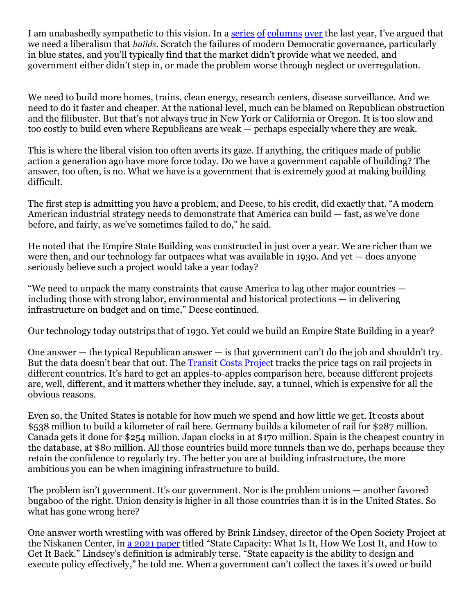I am unabashedly sympathetic to this vision. In a [series](https://www.nytimes.com/2021/09/19/opinion/supply-side-progressivism.html) [of](https://www.nytimes.com/2022/02/12/opinion/yellen-supply-side-liberalism.html) [columns](https://www.nytimes.com/2022/03/13/opinion/berkeley-enrollment-climate-crisis.html) [over](https://www.nytimes.com/2022/01/16/opinion/biden-obama-economy.html) the last year, I've argued that we need a liberalism that *builds*. Scratch the failures of modern Democratic governance, particularly in blue states, and you'll typically find that the market didn't provide what we needed, and government either didn't step in, or made the problem worse through neglect or overregulation.

We need to build more homes, trains, clean energy, research centers, disease surveillance. And we need to do it faster and cheaper. At the national level, much can be blamed on Republican obstruction and the filibuster. But that's not always true in New York or California or Oregon. It is too slow and too costly to build even where Republicans are weak — perhaps especially where they are weak.

This is where the liberal vision too often averts its gaze. If anything, the critiques made of public action a generation ago have more force today. Do we have a government capable of building? The answer, too often, is no. What we have is a government that is extremely good at making building difficult.

The first step is admitting you have a problem, and Deese, to his credit, did exactly that. "A modern American industrial strategy needs to demonstrate that America can build — fast, as we've done before, and fairly, as we've sometimes failed to do," he said.

He noted that the Empire State Building was constructed in just over a year. We are richer than we were then, and our technology far outpaces what was available in 1930. And yet  $-$  does anyone seriously believe such a project would take a year today?

"We need to unpack the many constraints that cause America to lag other major countries including those with strong labor, environmental and historical protections — in delivering infrastructure on budget and on time," Deese continued.

Our technology today outstrips that of 1930. Yet could we build an Empire State Building in a year?

One answer — the typical Republican answer — is that government can't do the job and shouldn't try. But the data doesn't bear that out. The Transit [Costs Project](https://transitcosts.com/what-does-the-data-say/) tracks the price tags on rail projects in different countries. It's hard to get an apples-to-apples comparison here, because different projects are, well, different, and it matters whether they include, say, a tunnel, which is expensive for all the obvious reasons.

Even so, the United States is notable for how much we spend and how little we get. It costs about \$538 million to build a kilometer of rail here. Germany builds a kilometer of rail for \$287 million. Canada gets it done for \$254 million. Japan clocks in at \$170 million. Spain is the cheapest country in the database, at \$80 million. All those countries build more tunnels than we do, perhaps because they retain the confidence to regularly try. The better you are at building infrastructure, the more ambitious you can be when imagining infrastructure to build.

The problem isn't government. It's our government. Nor is the problem unions — another favored bugaboo of the right. Union density is higher in all those countries than it is in the United States. So what has gone wrong here?

One answer worth wrestling with was offered by Brink Lindsey, director of the Open Society Project at the Niskanen Center, in [a 2021](https://www.niskanencenter.org/state-capacity-what-is-it-how-we-lost-it-and-how-to-get-it-back/) paper titled "State Capacity: What Is It, How We Lost It, and How to Get It Back." Lindsey's definition is admirably terse. "State capacity is the ability to design and execute policy effectively," he told me. When a government can't collect the taxes it's owed or build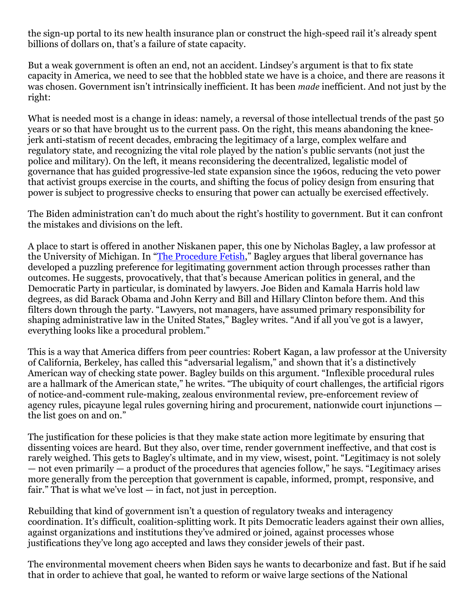the sign-up portal to its new health insurance plan or construct the high-speed rail it's already spent billions of dollars on, that's a failure of state capacity.

But a weak government is often an end, not an accident. Lindsey's argument is that to fix state capacity in America, we need to see that the hobbled state we have is a choice, and there are reasons it was chosen. Government isn't intrinsically inefficient. It has been *made* inefficient. And not just by the right:

What is needed most is a change in ideas: namely, a reversal of those intellectual trends of the past 50 years or so that have brought us to the current pass. On the right, this means abandoning the kneejerk anti-statism of recent decades, embracing the legitimacy of a large, complex welfare and regulatory state, and recognizing the vital role played by the nation's public servants (not just the police and military). On the left, it means reconsidering the decentralized, legalistic model of governance that has guided progressive-led state expansion since the 1960s, reducing the veto power that activist groups exercise in the courts, and shifting the focus of policy design from ensuring that power is subject to progressive checks to ensuring that power can actually be exercised effectively.

The Biden administration can't do much about the right's hostility to government. But it can confront the mistakes and divisions on the left.

A place to start is offered in another Niskanen paper, this one by Nicholas Bagley, a law professor at the University of Michigan. In ["The Procedure Fetish,](https://www.niskanencenter.org/the-procedure-fetish/)" Bagley argues that liberal governance has developed a puzzling preference for legitimating government action through processes rather than outcomes. He suggests, provocatively, that that's because American politics in general, and the Democratic Party in particular, is dominated by lawyers. Joe Biden and Kamala Harris hold law degrees, as did Barack Obama and John Kerry and Bill and Hillary Clinton before them. And this filters down through the party. "Lawyers, not managers, have assumed primary responsibility for shaping administrative law in the United States," Bagley writes. "And if all you've got is a lawyer, everything looks like a procedural problem."

This is a way that America differs from peer countries: Robert Kagan, a law professor at the University of California, Berkeley, has called this "adversarial legalism," and shown that it's a distinctively American way of checking state power. Bagley builds on this argument. "Inflexible procedural rules are a hallmark of the American state," he writes. "The ubiquity of court challenges, the artificial rigors of notice-and-comment rule-making, zealous environmental review, pre-enforcement review of agency rules, picayune legal rules governing hiring and procurement, nationwide court injunctions the list goes on and on."

The justification for these policies is that they make state action more legitimate by ensuring that dissenting voices are heard. But they also, over time, render government ineffective, and that cost is rarely weighed. This gets to Bagley's ultimate, and in my view, wisest, point. "Legitimacy is not solely — not even primarily — a product of the procedures that agencies follow," he says. "Legitimacy arises more generally from the perception that government is capable, informed, prompt, responsive, and fair." That is what we've lost  $-$  in fact, not just in perception.

Rebuilding that kind of government isn't a question of regulatory tweaks and interagency coordination. It's difficult, coalition-splitting work. It pits Democratic leaders against their own allies, against organizations and institutions they've admired or joined, against processes whose justifications they've long ago accepted and laws they consider jewels of their past.

The environmental movement cheers when Biden says he wants to decarbonize and fast. But if he said that in order to achieve that goal, he wanted to reform or waive large sections of the National